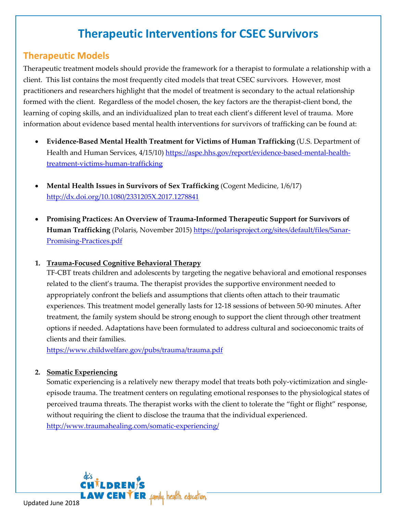# **Therapeutic Interventions for CSEC Survivors**

## **Therapeutic Models**

Therapeutic treatment models should provide the framework for a therapist to formulate a relationship with a client. This list contains the most frequently cited models that treat CSEC survivors. However, most practitioners and researchers highlight that the model of treatment is secondary to the actual relationship formed with the client. Regardless of the model chosen, the key factors are the therapist-client bond, the learning of coping skills, and an individualized plan to treat each client's different level of trauma. More information about evidence based mental health interventions for survivors of trafficking can be found at:

- **Evidence-Based Mental Health Treatment for Victims of Human Trafficking** (U.S. Department of Health and Human Services, 4/15/10) [https://aspe.hhs.gov/report/evidence-based-mental-health](https://aspe.hhs.gov/report/evidence-based-mental-health-treatment-victims-human-trafficking)[treatment-victims-human-trafficking](https://aspe.hhs.gov/report/evidence-based-mental-health-treatment-victims-human-trafficking)
- **Mental Health Issues in Survivors of Sex Trafficking** (Cogent Medicine, 1/6/17) <http://dx.doi.org/10.1080/2331205X.2017.1278841>
- **Promising Practices: An Overview of Trauma-Informed Therapeutic Support for Survivors of Human Trafficking** (Polaris, November 2015[\) https://polarisproject.org/sites/default/files/Sanar-](https://polarisproject.org/sites/default/files/Sanar-Promising-Practices.pdf)[Promising-Practices.pdf](https://polarisproject.org/sites/default/files/Sanar-Promising-Practices.pdf)

### **1. Trauma-Focused Cognitive Behavioral Therapy**

TF-CBT treats children and adolescents by targeting the negative behavioral and emotional responses related to the client's trauma. The therapist provides the supportive environment needed to appropriately confront the beliefs and assumptions that clients often attach to their traumatic experiences. This treatment model generally lasts for 12-18 sessions of between 50-90 minutes. After treatment, the family system should be strong enough to support the client through other treatment options if needed. Adaptations have been formulated to address cultural and socioeconomic traits of clients and their families.

<https://www.childwelfare.gov/pubs/trauma/trauma.pdf>

### **2. Somatic Experiencing**

Somatic experiencing is a relatively new therapy model that treats both poly-victimization and singleepisode trauma. The treatment centers on regulating emotional responses to the physiological states of perceived trauma threats. The therapist works with the client to tolerate the "fight or flight" response, without requiring the client to disclose the trauma that the individual experienced.

<http://www.traumahealing.com/somatic-experiencing/>

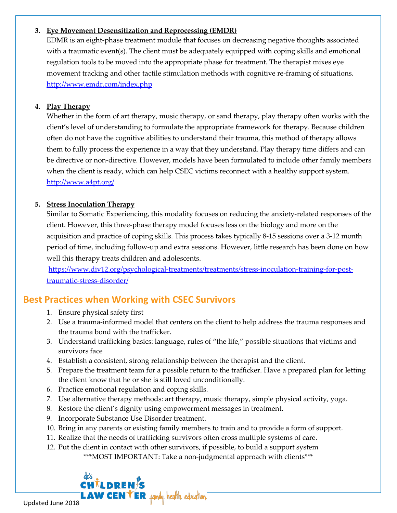#### **3. Eye Movement Desensitization and Reprocessing (EMDR)**

EDMR is an eight-phase treatment module that focuses on decreasing negative thoughts associated with a traumatic event(s). The client must be adequately equipped with coping skills and emotional regulation tools to be moved into the appropriate phase for treatment. The therapist mixes eye movement tracking and other tactile stimulation methods with cognitive re-framing of situations. <http://www.emdr.com/index.php>

#### **4. Play Therapy**

Whether in the form of art therapy, music therapy, or sand therapy, play therapy often works with the client's level of understanding to formulate the appropriate framework for therapy. Because children often do not have the cognitive abilities to understand their trauma, this method of therapy allows them to fully process the experience in a way that they understand. Play therapy time differs and can be directive or non-directive. However, models have been formulated to include other family members when the client is ready, which can help CSEC victims reconnect with a healthy support system. <http://www.a4pt.org/>

#### **5. Stress Inoculation Therapy**

Similar to Somatic Experiencing, this modality focuses on reducing the anxiety-related responses of the client. However, this three-phase therapy model focuses less on the biology and more on the acquisition and practice of coping skills. This process takes typically 8-15 sessions over a 3-12 month period of time, including follow-up and extra sessions. However, little research has been done on how well this therapy treats children and adolescents.

[https://www.div12.org/psychological-treatments/treatments/stress-inoculation-training-for-post](https://www.div12.org/psychological-treatments/treatments/stress-inoculation-training-for-post-traumatic-stress-disorder/)[traumatic-stress-disorder/](https://www.div12.org/psychological-treatments/treatments/stress-inoculation-training-for-post-traumatic-stress-disorder/)

## **Best Practices when Working with CSEC Survivors**

- 1. Ensure physical safety first
- 2. Use a trauma-informed model that centers on the client to help address the trauma responses and the trauma bond with the trafficker.
- 3. Understand trafficking basics: language, rules of "the life," possible situations that victims and survivors face
- 4. Establish a consistent, strong relationship between the therapist and the client.
- 5. Prepare the treatment team for a possible return to the trafficker. Have a prepared plan for letting the client know that he or she is still loved unconditionally.
- 6. Practice emotional regulation and coping skills.
- 7. Use alternative therapy methods: art therapy, music therapy, simple physical activity, yoga.
- 8. Restore the client's dignity using empowerment messages in treatment.
- 9. Incorporate Substance Use Disorder treatment.
- 10. Bring in any parents or existing family members to train and to provide a form of support.
- 11. Realize that the needs of trafficking survivors often cross multiple systems of care.
- 12. Put the client in contact with other survivors, if possible, to build a support system \*\*\*MOST IMPORTANT: Take a non-judgmental approach with clients\*\*\*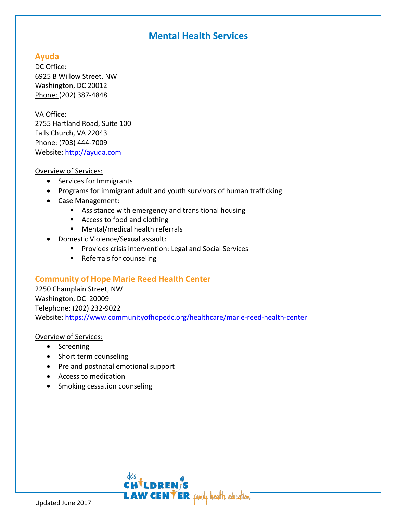## **Mental Health Services**

### **Ayuda**

DC Office: 6925 B Willow Street, NW Washington, DC 20012 Phone: (202) 387-4848

#### VA Office:

2755 Hartland Road, Suite 100 Falls Church, VA 22043 Phone: (703) 444-7009 Website: [http://ayuda.com](http://ayuda.com/)

#### Overview of Services:

- Services for Immigrants
- Programs for immigrant adult and youth survivors of human trafficking
- Case Management:
	- **EXTERGHTM** Assistance with emergency and transitional housing
	- Access to food and clothing
	- Mental/medical health referrals
- Domestic Violence/Sexual assault:
	- **Provides crisis intervention: Legal and Social Services**
	- Referrals for counseling

### **Community of Hope Marie Reed Health Center**

2250 Champlain Street, NW Washington, DC 20009 Telephone: (202) 232-9022 Website: <https://www.communityofhopedc.org/healthcare/marie-reed-health-center>

- Screening
- Short term counseling
- Pre and postnatal emotional support
- Access to medication
- Smoking cessation counseling

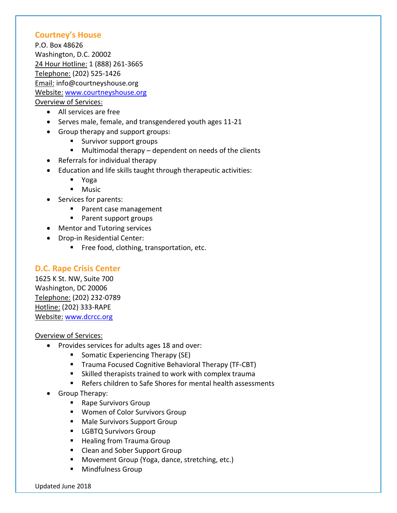#### **Courtney's House**

P.O. Box 48626 Washington, D.C. 20002 24 Hour Hotline: 1 (888) 261-3665 Telephone: (202) 525-1426 Email: info@courtneyshouse.org Website: [www.courtneyshouse.org](http://www.courtneyshouse.org/) Overview of Services:

- All services are free
- Serves male, female, and transgendered youth ages 11-21
- Group therapy and support groups:
	- **Survivor support groups**
	- Multimodal therapy dependent on needs of the clients
- Referrals for individual therapy
- Education and life skills taught through therapeutic activities:
	- Yoga
	- **Music**
- Services for parents:
	- **Parent case management**
	- Parent support groups
- Mentor and Tutoring services
- Drop-in Residential Center:
	- **Free food, clothing, transportation, etc.**

### **D.C. Rape Crisis Center**

1625 K St. NW, Suite 700 Washington, DC 20006 Telephone: (202) 232-0789 Hotline: (202) 333-RAPE Website: [www.dcrcc.org](http://www.dcrcc.org/)

- Provides services for adults ages 18 and over:
	- **Somatic Experiencing Therapy (SE)**
	- **Trauma Focused Cognitive Behavioral Therapy (TF-CBT)**
	- Skilled therapists trained to work with complex trauma
	- Refers children to Safe Shores for mental health assessments
- Group Therapy:
	- Rape Survivors Group
	- **Women of Color Survivors Group**
	- **Male Survivors Support Group**
	- **LGBTQ Survivors Group**
	- **Healing from Trauma Group**
	- **EXECLE** Clean and Sober Support Group
	- **Movement Group (Yoga, dance, stretching, etc.)**
	- Mindfulness Group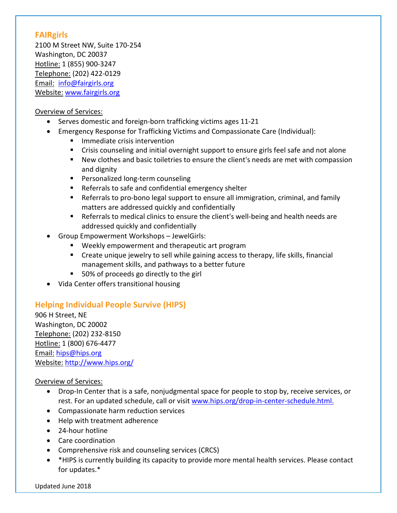### **FAIRgirls**

2100 M Street NW, Suite 170-254 Washington, DC 20037 Hotline: 1 (855) 900-3247 Telephone: (202) 422-0129 Email: [info@fairgirls.org](mailto:info@fairgirls.org) Website: [www.fairgirls.org](http://www.fairgirls.org/)

#### Overview of Services:

- Serves domestic and foreign-born trafficking victims ages 11-21
- Emergency Response for Trafficking Victims and Compassionate Care (Individual):
	- **Immediate crisis intervention**
	- Crisis counseling and initial overnight support to ensure girls feel safe and not alone
	- New clothes and basic toiletries to ensure the client's needs are met with compassion and dignity
	- **Personalized long-term counseling**
	- Referrals to safe and confidential emergency shelter
	- Referrals to pro-bono legal support to ensure all immigration, criminal, and family matters are addressed quickly and confidentially
	- Referrals to medical clinics to ensure the client's well-being and health needs are addressed quickly and confidentially
- Group Empowerment Workshops JewelGirls:
	- Weekly empowerment and therapeutic art program
	- Create unique jewelry to sell while gaining access to therapy, life skills, financial management skills, and pathways to a better future
	- 50% of proceeds go directly to the girl
- Vida Center offers transitional housing

### **Helping Individual People Survive (HIPS)**

906 H Street, NE Washington, DC 20002 Telephone: (202) 232-8150 Hotline: 1 (800) 676-4477 Email: [hips@hips.org](mailto:hips@hips.org) Website: <http://www.hips.org/>

- Drop-In Center that is a safe, nonjudgmental space for people to stop by, receive services, or rest. For an updated schedule, call or visit [www.hips.org/drop-in-center-schedule.html.](http://www.hips.org/drop-in-center-schedule.html)
- Compassionate harm reduction services
- Help with treatment adherence
- 24-hour hotline
- Care coordination
- Comprehensive risk and counseling services (CRCS)
- \*HIPS is currently building its capacity to provide more mental health services. Please contact for updates.\*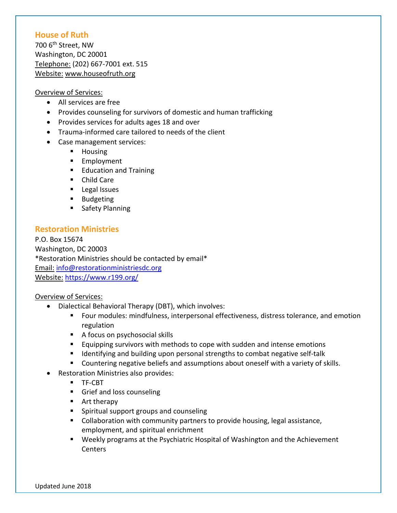#### **House of Ruth**

700 6th Street, NW Washington, DC 20001 Telephone: (202) 667-7001 ext. 515 Website: [www.houseofruth.org](http://www.houseofruth.org/)

#### Overview of Services:

- All services are free
- Provides counseling for survivors of domestic and human trafficking
- Provides services for adults ages 18 and over
- Trauma-informed care tailored to needs of the client
- Case management services:
	- **Housing**
	- **Employment**
	- **Education and Training**
	- Child Care
	- **Legal Issues**
	- **Budgeting**
	- **Safety Planning**

### **Restoration Ministries**

P.O. Box 15674 Washington, DC 20003 \*Restoration Ministries should be contacted by email\* Email: [info@restorationministriesdc.org](mailto:info@restorationministriesdc.org) Website: <https://www.r199.org/>

- Dialectical Behavioral Therapy (DBT), which involves:
	- Four modules: mindfulness, interpersonal effectiveness, distress tolerance, and emotion regulation
	- A focus on psychosocial skills
	- Equipping survivors with methods to cope with sudden and intense emotions
	- Identifying and building upon personal strengths to combat negative self-talk
	- **Countering negative beliefs and assumptions about oneself with a variety of skills.**
	- Restoration Ministries also provides:
		- **TF-CBT**
		- **Grief and loss counseling**
		- **Art therapy**
		- **Spiritual support groups and counseling**
		- Collaboration with community partners to provide housing, legal assistance, employment, and spiritual enrichment
		- Weekly programs at the Psychiatric Hospital of Washington and the Achievement **Centers**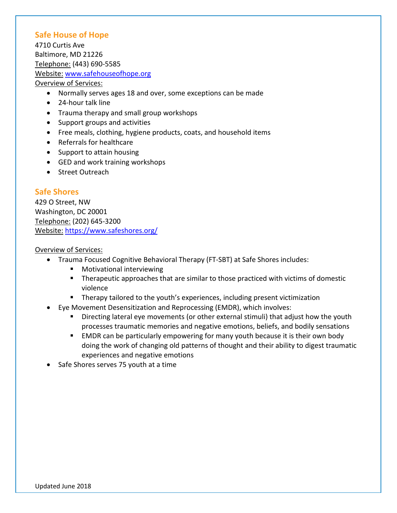### **Safe House of Hope**

4710 Curtis Ave Baltimore, MD 21226 Telephone: (443) 690-5585 Website: [www.safehouseofhope.org](http://www.safehouseofhope.org/) Overview of Services:

- Normally serves ages 18 and over, some exceptions can be made
- 24-hour talk line
- Trauma therapy and small group workshops
- Support groups and activities
- Free meals, clothing, hygiene products, coats, and household items
- Referrals for healthcare
- Support to attain housing
- GED and work training workshops
- Street Outreach

### **Safe Shores**

429 O Street, NW Washington, DC 20001 Telephone: (202) 645-3200 Website: <https://www.safeshores.org/>

- Trauma Focused Cognitive Behavioral Therapy (FT-SBT) at Safe Shores includes:
	- **Notivational interviewing**
	- Therapeutic approaches that are similar to those practiced with victims of domestic violence
	- **Therapy tailored to the youth's experiences, including present victimization**
- Eye Movement Desensitization and Reprocessing (EMDR), which involves:
	- **Directing lateral eye movements (or other external stimuli) that adjust how the youth** processes traumatic memories and negative emotions, beliefs, and bodily sensations
	- **EMDR** can be particularly empowering for many youth because it is their own body doing the work of changing old patterns of thought and their ability to digest traumatic experiences and negative emotions
- Safe Shores serves 75 youth at a time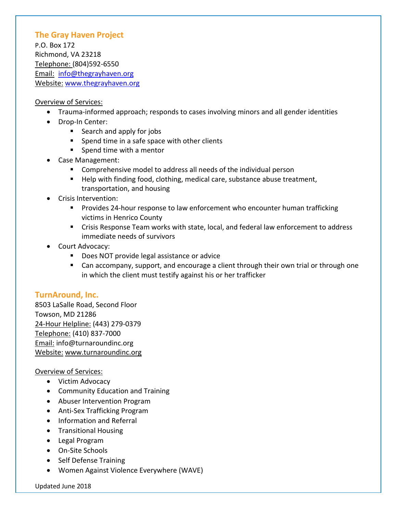### **The Gray Haven Project**

P.O. Box 172 Richmond, VA 23218 Telephone: (804)592-6550 Email: [info@thegrayhaven.org](mailto:info@thegrayhaven.org) Website: [www.thegrayhaven.org](http://www.thegrayhaven.org/)

#### Overview of Services:

- Trauma-informed approach; responds to cases involving minors and all gender identities
- Drop-In Center:
	- Search and apply for jobs
	- **Spend time in a safe space with other clients**
	- **Spend time with a mentor**
- Case Management:
	- Comprehensive model to address all needs of the individual person
	- Help with finding food, clothing, medical care, substance abuse treatment, transportation, and housing
- Crisis Intervention:
	- Provides 24-hour response to law enforcement who encounter human trafficking victims in Henrico County
	- Crisis Response Team works with state, local, and federal law enforcement to address immediate needs of survivors
- Court Advocacy:
	- Does NOT provide legal assistance or advice
	- Can accompany, support, and encourage a client through their own trial or through one in which the client must testify against his or her trafficker

#### **TurnAround, Inc.**

8503 LaSalle Road, Second Floor Towson, MD 21286 24-Hour Helpline: (443) 279-0379 Telephone: (410) 837-7000 Email: [info@turnaroundinc.org](mailto:info@turnaroundinc.org) Website: [www.turnaroundinc.org](http://www.turnaroundinc.org/)

- Victim Advocacy
- Community Education and Training
- Abuser Intervention Program
- Anti-Sex Trafficking Program
- Information and Referral
- Transitional Housing
- Legal Program
- On-Site Schools
- Self Defense Training
- Women Against Violence Everywhere (WAVE)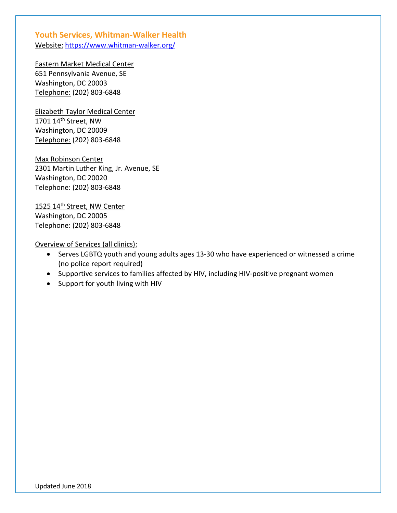### **Youth Services, Whitman-Walker Health** Website: <https://www.whitman-walker.org/>

Eastern Market Medical Center 651 Pennsylvania Avenue, SE Washington, DC 20003 Telephone: (202) 803-6848

Elizabeth Taylor Medical Center 1701 14th Street, NW Washington, DC 20009 Telephone: (202) 803-6848

Max Robinson Center 2301 Martin Luther King, Jr. Avenue, SE Washington, DC 20020 Telephone: (202) 803-6848

1525 14<sup>th</sup> Street, NW Center Washington, DC 20005 Telephone: (202) 803-6848

Overview of Services (all clinics):

- Serves LGBTQ youth and young adults ages 13-30 who have experienced or witnessed a crime (no police report required)
- Supportive services to families affected by HIV, including HIV-positive pregnant women
- Support for youth living with HIV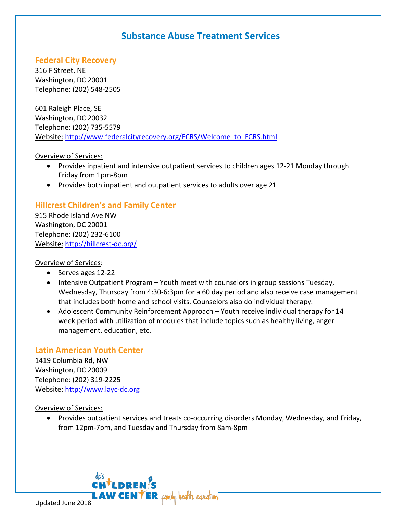## **Substance Abuse Treatment Services**

### **Federal City Recovery**

316 F Street, NE Washington, DC 20001 Telephone: (202) 548-2505

601 Raleigh Place, SE Washington, DC 20032 Telephone: (202) 735-5579 Website: [http://www.federalcityrecovery.org/FCRS/Welcome\\_to\\_FCRS.html](http://www.federalcityrecovery.org/FCRS/Welcome_to_FCRS.html)

#### Overview of Services:

- Provides inpatient and intensive outpatient services to children ages 12-21 Monday through Friday from 1pm-8pm
- Provides both inpatient and outpatient services to adults over age 21

### **Hillcrest Children's and Family Center**

915 Rhode Island Ave NW Washington, DC 20001 Telephone: (202) 232-6100 Website: <http://hillcrest-dc.org/>

Overview of Services:

- Serves ages 12-22
- Intensive Outpatient Program Youth meet with counselors in group sessions Tuesday, Wednesday, Thursday from 4:30-6:3pm for a 60 day period and also receive case management that includes both home and school visits. Counselors also do individual therapy.
- Adolescent Community Reinforcement Approach Youth receive individual therapy for 14 week period with utilization of modules that include topics such as healthy living, anger management, education, etc.

### **Latin American Youth Center**

1419 Columbia Rd, NW Washington, DC 20009 Telephone: (202) 319-2225 Website: [http://www.layc-dc.org](http://www.layc-dc.org/)

Overview of Services:

• Provides outpatient services and treats co-occurring disorders Monday, Wednesday, and Friday, from 12pm-7pm, and Tuesday and Thursday from 8am-8pm

**LAW CENTER** family. health. education.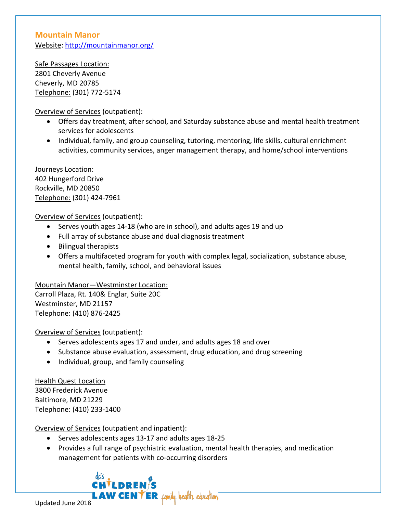### **Mountain Manor** Website:<http://mountainmanor.org/>

Safe Passages Location: 2801 Cheverly Avenue Cheverly, MD 20785 Telephone: (301) 772-5174

Overview of Services (outpatient):

- Offers day treatment, after school, and Saturday substance abuse and mental health treatment services for adolescents
- Individual, family, and group counseling, tutoring, mentoring, life skills, cultural enrichment activities, community services, anger management therapy, and home/school interventions

Journeys Location: 402 Hungerford Drive Rockville, MD 20850 Telephone: (301) 424-7961

Overview of Services (outpatient):

- Serves youth ages 14-18 (who are in school), and adults ages 19 and up
- Full array of substance abuse and dual diagnosis treatment
- Bilingual therapists
- Offers a multifaceted program for youth with complex legal, socialization, substance abuse, mental health, family, school, and behavioral issues

Mountain Manor—Westminster Location:

Carroll Plaza, Rt. 140& Englar, Suite 20C Westminster, MD 21157 Telephone: (410) 876-2425

Overview of Services (outpatient):

- Serves adolescents ages 17 and under, and adults ages 18 and over
- Substance abuse evaluation, assessment, drug education, and drug screening
- Individual, group, and family counseling

Health Quest Location 3800 Frederick Avenue Baltimore, MD 21229 Telephone: (410) 233-1400

Overview of Services (outpatient and inpatient):

- Serves adolescents ages 13-17 and adults ages 18-25
- Provides a full range of psychiatric evaluation, mental health therapies, and medication management for patients with co-occurring disorders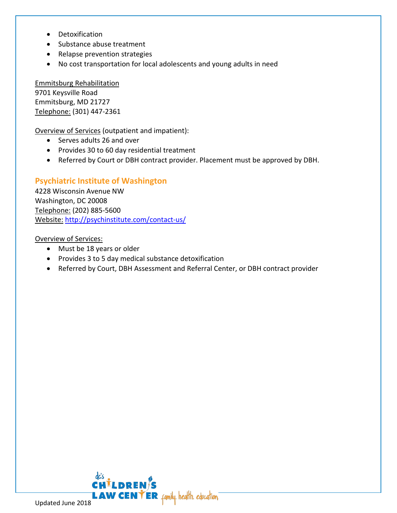- Detoxification
- Substance abuse treatment
- Relapse prevention strategies
- No cost transportation for local adolescents and young adults in need

Emmitsburg Rehabilitation 9701 Keysville Road Emmitsburg, MD 21727 Telephone: (301) 447-2361

Overview of Services (outpatient and impatient):

- Serves adults 26 and over
- Provides 30 to 60 day residential treatment
- Referred by Court or DBH contract provider. Placement must be approved by DBH.

### **Psychiatric Institute of Washington**

4228 Wisconsin Avenue NW Washington, DC 20008 Telephone: (202) 885-5600 Website: <http://psychinstitute.com/contact-us/>

- Must be 18 years or older
- Provides 3 to 5 day medical substance detoxification
- Referred by Court, DBH Assessment and Referral Center, or DBH contract provider

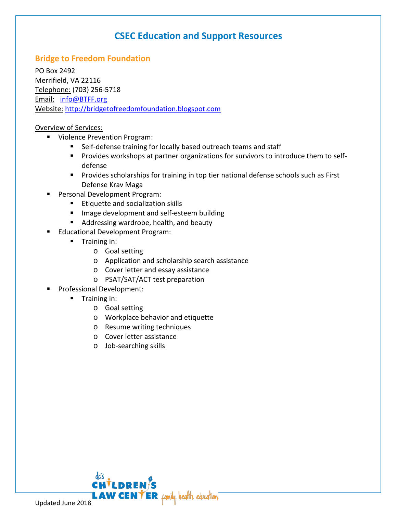## **CSEC Education and Support Resources**

### **Bridge to Freedom Foundation**

PO Box 2492 Merrifield, VA 22116 Telephone: (703) 256-5718 Email: [info@BTFF.org](mailto:info@BTFF.org) Website: [http://bridgetofreedomfoundation.blogspot.com](http://bridgetofreedomfoundation.blogspot.com/)

- **Violence Prevention Program:** 
	- Self-defense training for locally based outreach teams and staff
	- **Provides workshops at partner organizations for survivors to introduce them to self**defense
	- **Provides scholarships for training in top tier national defense schools such as First** Defense Krav Maga
- Personal Development Program:
	- **Etiquette and socialization skills**
	- **IF Image development and self-esteem building**
	- **Addressing wardrobe, health, and beauty**
- **Educational Development Program:** 
	- **Training in:** 
		- o Goal setting
		- o Application and scholarship search assistance
		- o Cover letter and essay assistance
		- o PSAT/SAT/ACT test preparation
- Professional Development:
	- **Training in:** 
		- o Goal setting
		- o Workplace behavior and etiquette
		- o Resume writing techniques
		- o Cover letter assistance
		- o Job-searching skills

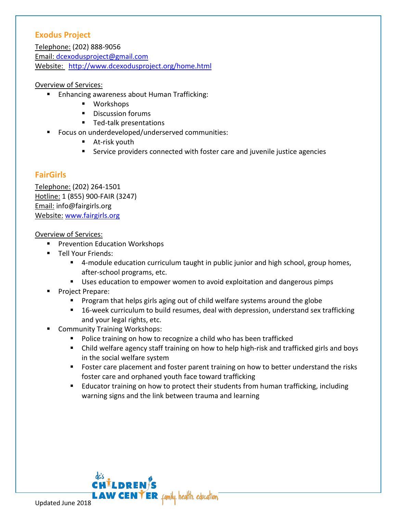### **Exodus Project**

Telephone: (202) 888-9056 Email: [dcexodusproject@gmail.com](mailto:dcexodusproject@gmail.com) Website: <http://www.dcexodusproject.org/home.html>

#### Overview of Services:

- **Enhancing awareness about Human Trafficking:** 
	- Workshops
	- **Discussion forums**
	- **Ted-talk presentations**
	- **FICUME:** Focus on underdeveloped/underserved communities:
		- **At-risk youth**
		- Service providers connected with foster care and juvenile justice agencies

### **FairGirls**

Telephone: (202) 264-1501 Hotline: 1 (855) 900-FAIR (3247) Email: info@fairgirls.org Website: [www.fairgirls.org](http://www.fairgirls.org/) 

- **Prevention Education Workshops**
- **Tell Your Friends:** 
	- **4**-module education curriculum taught in public junior and high school, group homes, after-school programs, etc.
	- Uses education to empower women to avoid exploitation and dangerous pimps
- Project Prepare:
	- **Program that helps girls aging out of child welfare systems around the globe**
	- 16-week curriculum to build resumes, deal with depression, understand sex trafficking and your legal rights, etc.
- Community Training Workshops:
	- **Police training on how to recognize a child who has been trafficked**
	- Child welfare agency staff training on how to help high-risk and trafficked girls and boys in the social welfare system
	- **F** Foster care placement and foster parent training on how to better understand the risks foster care and orphaned youth face toward trafficking
	- Educator training on how to protect their students from human trafficking, including warning signs and the link between trauma and learning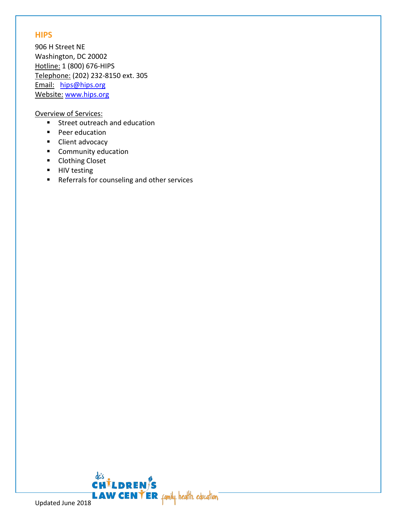### **HIPS**

906 H Street NE Washington, DC 20002 Hotline: 1 (800) 676-HIPS Telephone: (202) 232-8150 ext. 305 Email: [hips@hips.org](mailto:hips@hips.org) Website: [www.hips.org](http://www.hips.org/)

- Street outreach and education
- **Peer education**
- **Client advocacy**
- **Community education**
- **Clothing Closet**
- **HIV testing**
- Referrals for counseling and other services

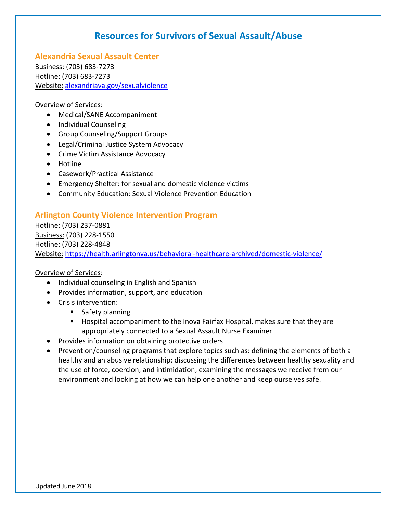## **Resources for Survivors of Sexual Assault/Abuse**

**Alexandria Sexual Assault Center** Business: (703) 683-7273 Hotline: (703) 683-7273 Website: [alexandriava.gov/sexualviolence](http://www.alexandriava.gov/SexualViolence) 

#### Overview of Services:

- Medical/SANE Accompaniment
- Individual Counseling
- Group Counseling/Support Groups
- Legal/Criminal Justice System Advocacy
- Crime Victim Assistance Advocacy
- Hotline
- Casework/Practical Assistance
- Emergency Shelter: for sexual and domestic violence victims
- Community Education: Sexual Violence Prevention Education

### **Arlington County Violence Intervention Program**

Hotline: (703) 237-0881 Business: (703) 228-1550 Hotline: (703) 228-4848 Website: <https://health.arlingtonva.us/behavioral-healthcare-archived/domestic-violence/>

- Individual counseling in English and Spanish
- Provides information, support, and education
- Crisis intervention:
	- **Safety planning**
	- Hospital accompaniment to the Inova Fairfax Hospital, makes sure that they are appropriately connected to a Sexual Assault Nurse Examiner
- Provides information on obtaining protective orders
- Prevention/counseling programs that explore topics such as: defining the elements of both a healthy and an abusive relationship; discussing the differences between healthy sexuality and the use of force, coercion, and intimidation; examining the messages we receive from our environment and looking at how we can help one another and keep ourselves safe.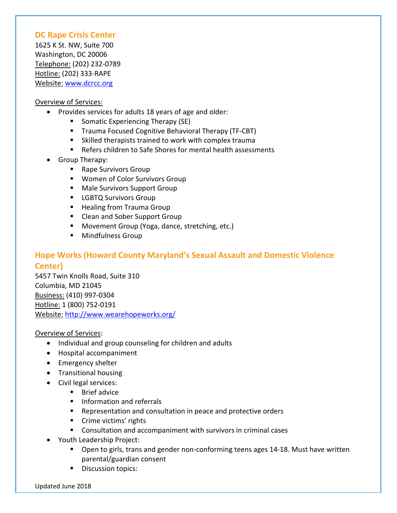### **DC Rape Crisis Center**

1625 K St. NW, Suite 700 Washington, DC 20006 Telephone: (202) 232-0789 Hotline: (202) 333-RAPE Website: [www.dcrcc.org](http://www.dcrcc.org/)

#### Overview of Services:

- Provides services for adults 18 years of age and older:
	- **Somatic Experiencing Therapy (SE)**
	- **Trauma Focused Cognitive Behavioral Therapy (TF-CBT)**
	- Skilled therapists trained to work with complex trauma
	- Refers children to Safe Shores for mental health assessments
- Group Therapy:
	- Rape Survivors Group
	- **Women of Color Survivors Group**
	- **Male Survivors Support Group**
	- **LGBTQ Survivors Group**
	- **Healing from Trauma Group**
	- Clean and Sober Support Group
	- **Movement Group (Yoga, dance, stretching, etc.)**
	- **Mindfulness Group**

## **Hope Works (Howard County Maryland's Sexual Assault and Domestic Violence Center)**

5457 Twin Knolls Road, Suite 310 Columbia, MD 21045 Business: (410) 997-0304 Hotline: 1 (800) 752-0191 Website: <http://www.wearehopeworks.org/>

- Individual and group counseling for children and adults
- Hospital accompaniment
- Emergency shelter
- Transitional housing
- Civil legal services:
	- $\blacksquare$  Brief advice
	- **Information and referrals**
	- **E** Representation and consultation in peace and protective orders
	- **Crime victims' rights**
	- Consultation and accompaniment with survivors in criminal cases
- Youth Leadership Project:
	- Open to girls, trans and gender non-conforming teens ages 14-18. Must have written parental/guardian consent
	- **Discussion topics:**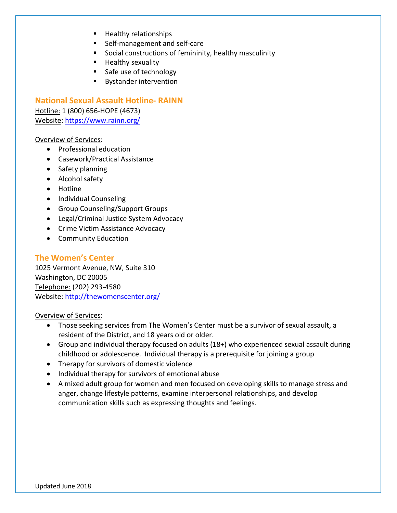- **Healthy relationships**
- Self-management and self-care
- **Social constructions of femininity, healthy masculinity**
- $H$  Healthy sexuality
- Safe use of technology
- **Bystander intervention**

**National Sexual Assault Hotline- RAINN**

Hotline: 1 (800) 656-HOPE (4673) Website:<https://www.rainn.org/>

#### Overview of Services:

- Professional education
- Casework/Practical Assistance
- Safety planning
- Alcohol safety
- Hotline
- Individual Counseling
- Group Counseling/Support Groups
- Legal/Criminal Justice System Advocacy
- Crime Victim Assistance Advocacy
- Community Education

#### **The Women's Center**

1025 Vermont Avenue, NW, Suite 310 Washington, DC 20005 Telephone: (202) 293-4580 Website: <http://thewomenscenter.org/>

- Those seeking services from The Women's Center must be a survivor of sexual assault, a resident of the District, and 18 years old or older.
- Group and individual therapy focused on adults (18+) who experienced sexual assault during childhood or adolescence. Individual therapy is a prerequisite for joining a group
- Therapy for survivors of domestic violence
- Individual therapy for survivors of emotional abuse
- A mixed adult group for women and men focused on developing skills to manage stress and anger, change lifestyle patterns, examine interpersonal relationships, and develop communication skills such as expressing thoughts and feelings.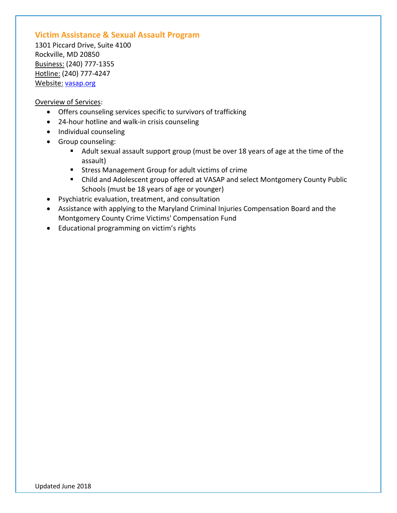### **Victim Assistance & Sexual Assault Program**

1301 Piccard Drive, Suite 4100 Rockville, MD 20850 Business: (240) 777-1355 Hotline: (240) 777-4247 Website: [vasap.org](http://www.montgomerycountymd.gov/hhs-program/bhcs/vasap/vasapindex.html)

- Offers counseling services specific to survivors of trafficking
- 24-hour hotline and walk-in crisis counseling
- Individual counseling
- Group counseling:
	- Adult sexual assault support group (must be over 18 years of age at the time of the assault)
	- **EXTERS** Management Group for adult victims of crime
	- Child and Adolescent group offered at VASAP and select Montgomery County Public Schools (must be 18 years of age or younger)
- Psychiatric evaluation, treatment, and consultation
- Assistance with applying to the Maryland Criminal Injuries Compensation Board and the Montgomery County Crime Victims' Compensation Fund
- Educational programming on victim's rights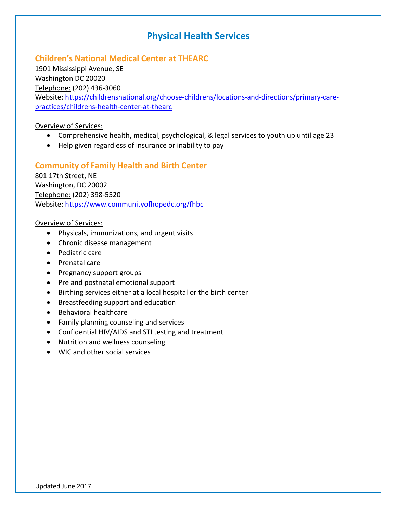## **Physical Health Services**

### **Children's National Medical Center at THEARC**

1901 Mississippi Avenue, SE Washington DC 20020 Telephone: (202) 436-3060 Website: [https://childrensnational.org/choose-childrens/locations-and-directions/primary-care](https://childrensnational.org/choose-childrens/locations-and-directions/primary-care-practices/childrens-health-center-at-thearc)[practices/childrens-health-center-at-thearc](https://childrensnational.org/choose-childrens/locations-and-directions/primary-care-practices/childrens-health-center-at-thearc) 

Overview of Services:

- Comprehensive health, medical, psychological, & legal services to youth up until age 23
- Help given regardless of insurance or inability to pay

### **Community of Family Health and Birth Center**

801 17th Street, NE Washington, DC 20002 Telephone: (202) 398-5520 Website: <https://www.communityofhopedc.org/fhbc>

- Physicals, immunizations, and urgent visits
- Chronic disease management
- Pediatric care
- Prenatal care
- Pregnancy support groups
- Pre and postnatal emotional support
- Birthing services either at a local hospital or the birth center
- Breastfeeding support and education
- Behavioral healthcare
- Family planning counseling and services
- Confidential HIV/AIDS and STI testing and treatment
- Nutrition and wellness counseling
- WIC and other social services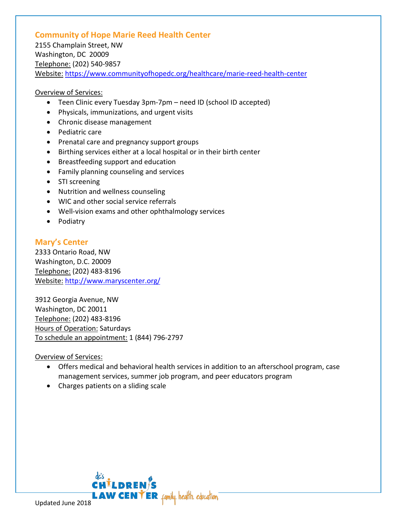### **Community of Hope Marie Reed Health Center**

2155 Champlain Street, NW Washington, DC 20009 Telephone: (202) 540-9857 Website: <https://www.communityofhopedc.org/healthcare/marie-reed-health-center>

#### Overview of Services:

- Teen Clinic every Tuesday 3pm-7pm need ID (school ID accepted)
- Physicals, immunizations, and urgent visits
- Chronic disease management
- Pediatric care
- Prenatal care and pregnancy support groups
- Birthing services either at a local hospital or in their birth center
- Breastfeeding support and education
- Family planning counseling and services
- STI screening
- Nutrition and wellness counseling
- WIC and other social service referrals
- Well-vision exams and other ophthalmology services
- Podiatry

### **Mary's Center**

2333 Ontario Road, NW Washington, D.C. 20009 Telephone: (202) 483-8196 Website: <http://www.maryscenter.org/>

3912 Georgia Avenue, NW Washington, DC 20011 Telephone: (202) 483-8196 Hours of Operation: Saturdays To schedule an appointment: 1 (844) 796-2797

- Offers medical and behavioral health services in addition to an afterschool program, case management services, summer job program, and peer educators program
- Charges patients on a sliding scale

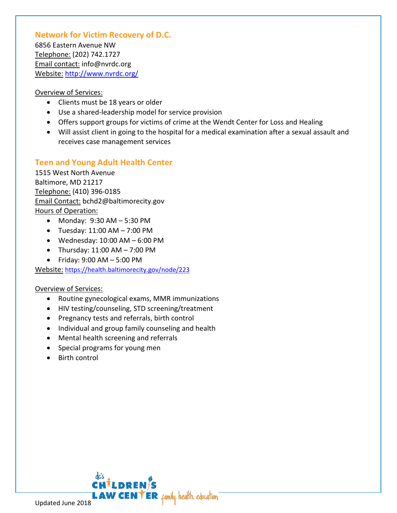### **Network for Victim Recovery of D.C.**

6856 Eastern Avenue NW Telephone: (202) 742.1727 Email contact: info@nvrdc.org Website: <http://www.nvrdc.org/>

#### Overview of Services:

- Clients must be 18 years or older
- Use a shared-leadership model for service provision
- Offers support groups for victims of crime at the Wendt Center for Loss and Healing
- Will assist client in going to the hospital for a medical examination after a sexual assault and receives case management services

### **Teen and Young Adult Health Center**

1515 West North Avenue Baltimore, MD 21217 Telephone: (410) 396-0185 Email Contact: bchd2@baltimorecity.gov Hours of Operation:

- Monday: 9:30 AM 5:30 PM
- Tuesday:  $11:00$  AM  $-$  7:00 PM
- Wednesday:  $10:00$  AM  $-6:00$  PM
- Thursday:  $11:00$  AM  $7:00$  PM
- Friday: 9:00 AM 5:00 PM

Website: <https://health.baltimorecity.gov/node/223>

- Routine gynecological exams, MMR immunizations
- HIV testing/counseling, STD screening/treatment
- Pregnancy tests and referrals, birth control
- Individual and group family counseling and health
- Mental health screening and referrals
- Special programs for young men
- Birth control

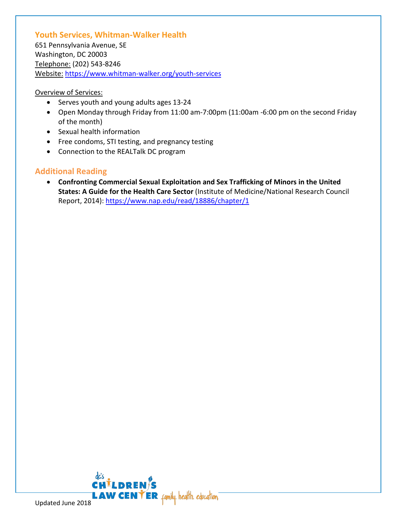### **Youth Services, Whitman-Walker Health**

651 Pennsylvania Avenue, SE Washington, DC 20003 Telephone: (202) 543-8246 Website: <https://www.whitman-walker.org/youth-services>

#### Overview of Services:

- Serves youth and young adults ages 13-24
- Open Monday through Friday from 11:00 am-7:00pm (11:00am -6:00 pm on the second Friday of the month)
- Sexual health information
- Free condoms, STI testing, and pregnancy testing
- Connection to the REALTalk DC program

### **Additional Reading**

• **[Confronting Commercial Sexual Exploitation and Sex Trafficking of Minors in the United](https://www.nap.edu/read/18969)  [States:](https://www.nap.edu/read/18969) A Guide for the Health Care Sector** (Institute of Medicine/National Research Council Report, 2014):<https://www.nap.edu/read/18886/chapter/1>

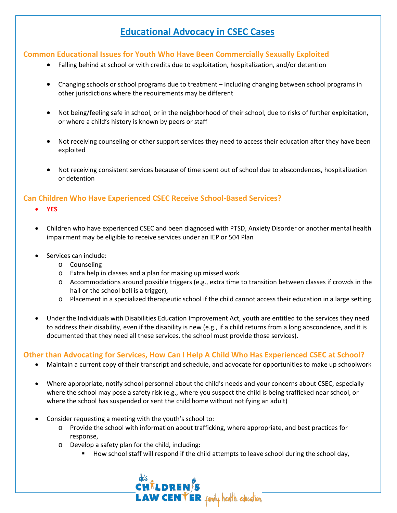## **Educational Advocacy in CSEC Cases**

#### **Common Educational Issues for Youth Who Have Been Commercially Sexually Exploited**

- Falling behind at school or with credits due to exploitation, hospitalization, and/or detention
- Changing schools or school programs due to treatment including changing between school programs in other jurisdictions where the requirements may be different
- Not being/feeling safe in school, or in the neighborhood of their school, due to risks of further exploitation, or where a child's history is known by peers or staff
- Not receiving counseling or other support services they need to access their education after they have been exploited
- Not receiving consistent services because of time spent out of school due to abscondences, hospitalization or detention

### **Can Children Who Have Experienced CSEC Receive School-Based Services?**

- **YES**
- Children who have experienced CSEC and been diagnosed with PTSD, Anxiety Disorder or another mental health impairment may be eligible to receive services under an IEP or 504 Plan
- Services can include:
	- o Counseling
	- o Extra help in classes and a plan for making up missed work
	- $\circ$  Accommodations around possible triggers (e.g., extra time to transition between classes if crowds in the hall or the school bell is a trigger),
	- o Placement in a specialized therapeutic school if the child cannot access their education in a large setting.
- Under the Individuals with Disabilities Education Improvement Act, youth are entitled to the services they need to address their disability, even if the disability is new (e.g., if a child returns from a long abscondence, and it is documented that they need all these services, the school must provide those services).

#### **Other than Advocating for Services, How Can I Help A Child Who Has Experienced CSEC at School?**

- Maintain a current copy of their transcript and schedule, and advocate for opportunities to make up schoolwork
- Where appropriate, notify school personnel about the child's needs and your concerns about CSEC, especially where the school may pose a safety risk (e.g., where you suspect the child is being trafficked near school, or where the school has suspended or sent the child home without notifying an adult)
- Consider requesting a meeting with the youth's school to:
	- o Provide the school with information about trafficking, where appropriate, and best practices for response,
	- o Develop a safety plan for the child, including:
		- **How school staff will respond if the child attempts to leave school during the school day,**

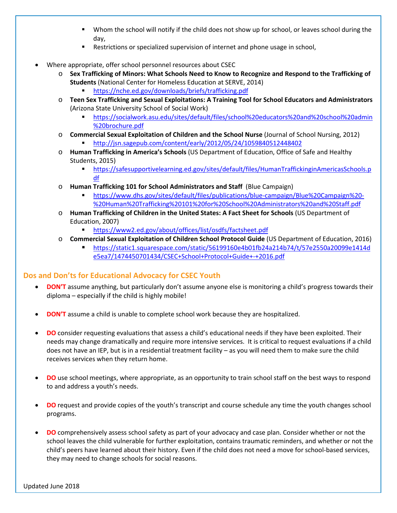- Whom the school will notify if the child does not show up for school, or leaves school during the day,
- Restrictions or specialized supervision of internet and phone usage in school,
- Where appropriate, offer school personnel resources about CSEC
	- o **Sex Trafficking of Minors: What Schools Need to Know to Recognize and Respond to the Trafficking of Students** (National Center for Homeless Education at SERVE, 2014)
		- <https://nche.ed.gov/downloads/briefs/trafficking.pdf>
	- o **Teen Sex Trafficking and Sexual Exploitations: A Training Tool for School Educators and Administrators** (Arizona State University School of Social Work)
		- [https://socialwork.asu.edu/sites/default/files/school%20educators%20and%20school%20admin](https://socialwork.asu.edu/sites/default/files/school%20educators%20and%20school%20admin%20brochure.pdf) [%20brochure.pdf](https://socialwork.asu.edu/sites/default/files/school%20educators%20and%20school%20admin%20brochure.pdf)
	- o **Commercial Sexual Exploitation of Children and the School Nurse** (Journal of School Nursing, 2012)
		- <http://jsn.sagepub.com/content/early/2012/05/24/1059840512448402>
	- o **Human Trafficking in America's Schools** (US Department of Education, Office of Safe and Healthy Students, 2015)
		- [https://safesupportivelearning.ed.gov/sites/default/files/HumanTraffickinginAmericasSchools.p](https://safesupportivelearning.ed.gov/sites/default/files/HumanTraffickinginAmericasSchools.pdf) [df](https://safesupportivelearning.ed.gov/sites/default/files/HumanTraffickinginAmericasSchools.pdf)
	- o **Human Trafficking 101 for School Administrators and Staff** (Blue Campaign)
		- [https://www.dhs.gov/sites/default/files/publications/blue-campaign/Blue%20Campaign%20-](https://www.dhs.gov/sites/default/files/publications/blue-campaign/Blue%20Campaign%20-%20Human%20Trafficking%20101%20for%20School%20Administrators%20and%20Staff.pdf) [%20Human%20Trafficking%20101%20for%20School%20Administrators%20and%20Staff.pdf](https://www.dhs.gov/sites/default/files/publications/blue-campaign/Blue%20Campaign%20-%20Human%20Trafficking%20101%20for%20School%20Administrators%20and%20Staff.pdf)
	- o **Human Trafficking of Children in the United States: A Fact Sheet for Schools** (US Department of Education, 2007)
		- <https://www2.ed.gov/about/offices/list/osdfs/factsheet.pdf>
	- o **Commercial Sexual Exploitation of Children School Protocol Guide** (US Department of Education, 2016)
		- [https://static1.squarespace.com/static/56199160e4b01fb24a214b74/t/57e2550a20099e1414d](https://static1.squarespace.com/static/56199160e4b01fb24a214b74/t/57e2550a20099e1414de5ea7/1474450701434/CSEC+School+Protocol+Guide+-+2016.pdf) [e5ea7/1474450701434/CSEC+School+Protocol+Guide+-+2016.pdf](https://static1.squarespace.com/static/56199160e4b01fb24a214b74/t/57e2550a20099e1414de5ea7/1474450701434/CSEC+School+Protocol+Guide+-+2016.pdf)

### **Dos and Don'ts for Educational Advocacy for CSEC Youth**

- **DON'T** assume anything, but particularly don't assume anyone else is monitoring a child's progress towards their diploma – especially if the child is highly mobile!
- **DON'T** assume a child is unable to complete school work because they are hospitalized.
- **DO** consider requesting evaluations that assess a child's educational needs if they have been exploited. Their needs may change dramatically and require more intensive services. It is critical to request evaluations if a child does not have an IEP, but is in a residential treatment facility – as you will need them to make sure the child receives services when they return home.
- **DO** use school meetings, where appropriate, as an opportunity to train school staff on the best ways to respond to and address a youth's needs.
- **DO** request and provide copies of the youth's transcript and course schedule any time the youth changes school programs.
- **DO** comprehensively assess school safety as part of your advocacy and case plan. Consider whether or not the school leaves the child vulnerable for further exploitation, contains traumatic reminders, and whether or not the child's peers have learned about their history. Even if the child does not need a move for school-based services, they may need to change schools for social reasons.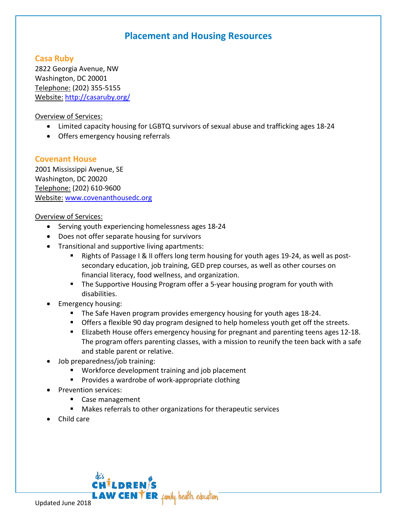## **Placement and Housing Resources**

### **Casa Ruby**

2822 Georgia Avenue, NW Washington, DC 20001 Telephone: (202) 355-5155 Website: <http://casaruby.org/>

Overview of Services:

- Limited capacity housing for LGBTQ survivors of sexual abuse and trafficking ages 18-24
- Offers emergency housing referrals

### **Covenant House**

2001 Mississippi Avenue, SE Washington, DC 20020 Telephone: (202) 610-9600 Website: [www.covenanthousedc.org](http://www.covenanthousedc.org/)

### Overview of Services:

- Serving youth experiencing homelessness ages 18-24
- Does not offer separate housing for survivors
- Transitional and supportive living apartments:
	- Rights of Passage I & II offers long term housing for youth ages 19-24, as well as postsecondary education, job training, GED prep courses, as well as other courses on financial literacy, food wellness, and organization.
	- **The Supportive Housing Program offer a 5-year housing program for youth with** disabilities.
- Emergency housing:
	- **The Safe Haven program provides emergency housing for youth ages 18-24.**
	- **The Strath Strath Strath and Strath in Strath Strath Strath Strath Strath Strath Strath Straths**. **The Straths** Straths. **In Straths** Straths of the streets.
	- Elizabeth House offers emergency housing for pregnant and parenting teens ages 12-18. The program offers parenting classes, with a mission to reunify the teen back with a safe and stable parent or relative.
- Job preparedness/job training:
	- **Workforce development training and job placement**
	- **Provides a wardrobe of work-appropriate clothing**

**LAW CENTER** family. health. education.

- Prevention services:
	- Case management
	- Makes referrals to other organizations for therapeutic services
- Child care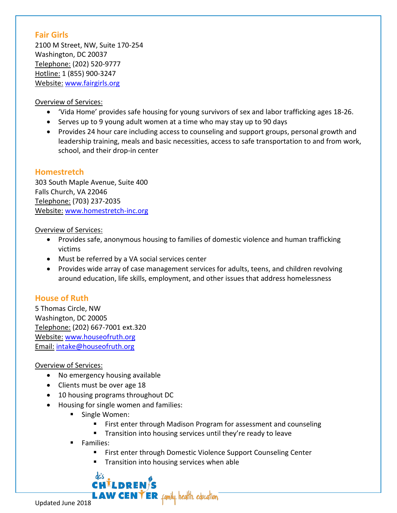### **Fair Girls**

2100 M Street, NW, Suite 170-254 Washington, DC 20037 Telephone: (202) 520-9777 Hotline: 1 (855) 900-3247 Website: [www.fairgirls.org](http://www.fairgirls.org/)

#### Overview of Services:

- 'Vida Home' provides safe housing for young survivors of sex and labor trafficking ages 18-26.
- Serves up to 9 young adult women at a time who may stay up to 90 days
- Provides 24 hour care including access to counseling and support groups, personal growth and leadership training, meals and basic necessities, access to safe transportation to and from work, school, and their drop-in center

### **Homestretch**

303 South Maple Avenue, Suite 400 Falls Church, VA 22046 Telephone: (703) 237-2035 Website: [www.homestretch-inc.org](http://www.homestretch-inc.org/)

#### Overview of Services:

- Provides safe, anonymous housing to families of domestic violence and human trafficking victims
- Must be referred by a VA social services center
- Provides wide array of case management services for adults, teens, and children revolving around education, life skills, employment, and other issues that address homelessness

### **House of Ruth**

5 Thomas Circle, NW Washington, DC 20005 Telephone: (202) 667-7001 ext.320 Website: [www.houseofruth.org](http://www.houseofruth.org/) Email: intake@houseofruth.org

### Overview of Services:

- No emergency housing available
- Clients must be over age 18
- 10 housing programs throughout DC
- Housing for single women and families:

CHILDREI

**Single Women:** 

dc's

- **First enter through Madison Program for assessment and counseling**
- **Transition into housing services until they're ready to leave**
- **Families:** 
	- **First enter through Domestic Violence Support Counseling Center**
	- Transition into housing services when able

**LAW CENTER** family health education.

Updated June 2018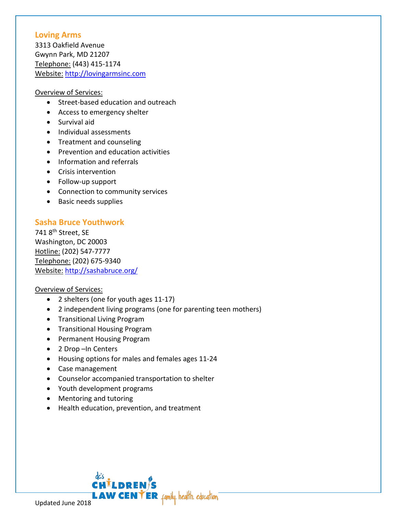#### **Loving Arms**

3313 Oakfield Avenue Gwynn Park, MD 21207 Telephone: (443) 415-1174 Website: [http://lovingarmsinc.com](http://lovingarmsinc.com/)

#### Overview of Services:

- Street-based education and outreach
- Access to emergency shelter
- Survival aid
- Individual assessments
- Treatment and counseling
- Prevention and education activities
- Information and referrals
- Crisis intervention
- Follow-up support
- Connection to community services
- Basic needs supplies

### **Sasha Bruce Youthwork**

741 8<sup>th</sup> Street, SE Washington, DC 20003 Hotline: (202) 547-7777 Telephone: (202) 675-9340 Website: <http://sashabruce.org/>

- 2 shelters (one for youth ages 11-17)
- 2 independent living programs (one for parenting teen mothers)
- Transitional Living Program
- Transitional Housing Program
- Permanent Housing Program
- 2 Drop –In Centers
- Housing options for males and females ages 11-24
- Case management
- Counselor accompanied transportation to shelter
- Youth development programs
- Mentoring and tutoring
- Health education, prevention, and treatment

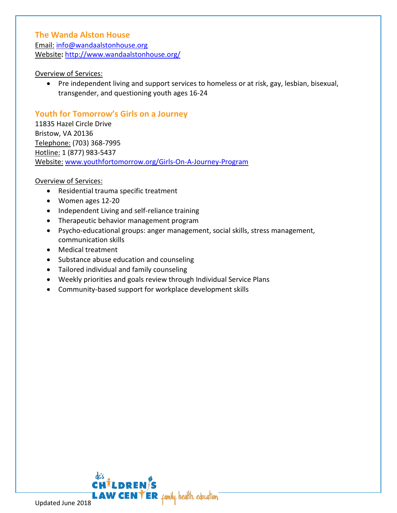### **The Wanda Alston House**

Email: [info@wandaalstonhouse.org](mailto:info@wandaalstonhouse.org) Website**:** <http://www.wandaalstonhouse.org/>

#### Overview of Services:

• Pre independent living and support services to homeless or at risk, gay, lesbian, bisexual, transgender, and questioning youth ages 16-24

### **Youth for Tomorrow's Girls on a Journey**

11835 Hazel Circle Drive Bristow, VA 20136 Telephone: (703) 368-7995 Hotline: 1 (877) 983-5437 Website: [www.youthfortomorrow.org/Girls-On-A-Journey-Program](http://www.youthfortomorrow.org/Girls-On-A-Journey-Program)

- Residential trauma specific treatment
- Women ages 12-20
- Independent Living and self-reliance training
- Therapeutic behavior management program
- Psycho-educational groups: anger management, social skills, stress management, communication skills
- Medical treatment
- Substance abuse education and counseling
- Tailored individual and family counseling
- Weekly priorities and goals review through Individual Service Plans
- Community-based support for workplace development skills

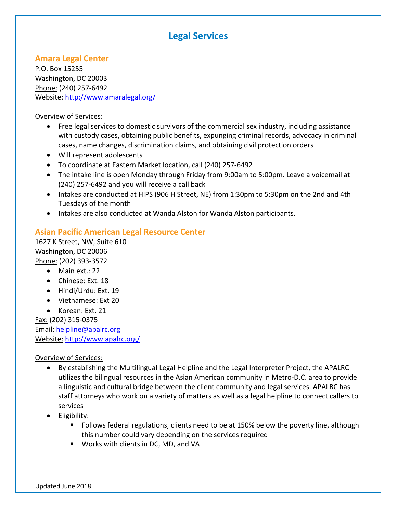## **Legal Services**

### **Amara Legal Center**

P.O. Box 15255 Washington, DC 20003 Phone: (240) 257-6492 Website: <http://www.amaralegal.org/>

#### Overview of Services:

- Free legal services to domestic survivors of the commercial sex industry, including assistance with custody cases, obtaining public benefits, expunging criminal records, advocacy in criminal cases, name changes, discrimination claims, and obtaining civil protection orders
- Will represent adolescents
- To coordinate at Eastern Market location, call (240) 257-6492
- The intake line is open Monday through Friday from 9:00am to 5:00pm. Leave a voicemail at (240) 257-6492 and you will receive a call back
- Intakes are conducted at HIPS (906 H Street, NE) from 1:30pm to 5:30pm on the 2nd and 4th Tuesdays of the month
- Intakes are also conducted at Wanda Alston for Wanda Alston participants.

### **Asian Pacific American Legal Resource Center**

1627 K Street, NW, Suite 610 Washington, DC 20006 Phone: (202) 393-3572

- Main ext.: 22
- Chinese: Ext. 18
- Hindi/Urdu: Ext. 19
- Vietnamese: Ext 20
- Korean: Ext. 21

Fax: (202) 315-0375 Email: [helpline@apalrc.org](mailto:helpline@apalrc.org) Website: <http://www.apalrc.org/>

- By establishing the Multilingual Legal Helpline and the Legal Interpreter Project, the APALRC utilizes the bilingual resources in the Asian American community in Metro-D.C. area to provide a linguistic and cultural bridge between the client community and legal services. APALRC has staff attorneys who work on a variety of matters as well as a legal helpline to connect callers to services
- Eligibility:
	- Follows federal regulations, clients need to be at 150% below the poverty line, although this number could vary depending on the services required
	- **Works with clients in DC, MD, and VA**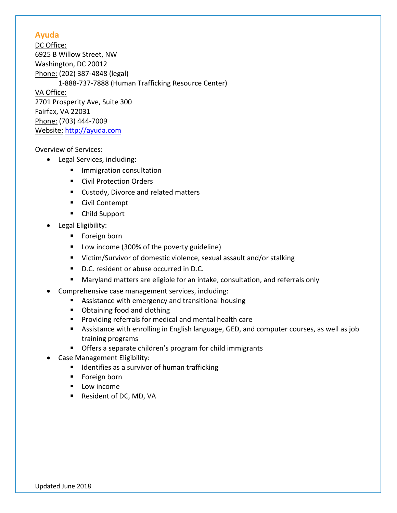### **Ayuda**

DC Office: 6925 B Willow Street, NW Washington, DC 20012 Phone: (202) 387-4848 (legal) 1-888-737-7888 (Human Trafficking Resource Center) VA Office: 2701 Prosperity Ave, Suite 300 Fairfax, VA 22031 Phone: (703) 444-7009 Website: [http://ayuda.com](http://ayuda.com/)

- Legal Services, including:
	- **Immigration consultation**
	- Civil Protection Orders
	- **EX Custody, Divorce and related matters**
	- Civil Contempt
	- Child Support
- Legal Eligibility:
	- **Foreign born**
	- Low income (300% of the poverty guideline)
	- Victim/Survivor of domestic violence, sexual assault and/or stalking
	- D.C. resident or abuse occurred in D.C.
	- Maryland matters are eligible for an intake, consultation, and referrals only
- Comprehensive case management services, including:
	- Assistance with emergency and transitional housing
	- **•** Obtaining food and clothing
	- **Providing referrals for medical and mental health care**
	- Assistance with enrolling in English language, GED, and computer courses, as well as job training programs
	- Offers a separate children's program for child immigrants
- Case Management Eligibility:
	- **IF** Identifies as a survivor of human trafficking
	- **Foreign born**
	- **Low income**
	- Resident of DC, MD, VA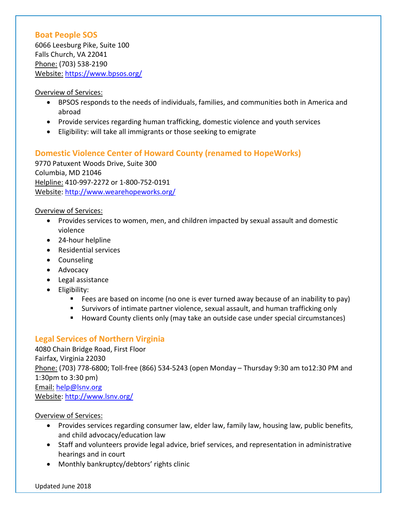### **Boat People SOS**

6066 Leesburg Pike, Suite 100 Falls Church, VA 22041 Phone: (703) 538-2190 Website: <https://www.bpsos.org/>

#### Overview of Services:

- BPSOS responds to the needs of individuals, families, and communities both in America and abroad
- Provide services regarding human trafficking, domestic violence and youth services
- Eligibility: will take all immigrants or those seeking to emigrate

### **Domestic Violence Center of Howard County (renamed to HopeWorks)**

9770 Patuxent Woods Drive, Suite 300 Columbia, MD 21046 Helpline: 410-997-2272 or 1-800-752-0191 Website:<http://www.wearehopeworks.org/>

Overview of Services:

- Provides services to women, men, and children impacted by sexual assault and domestic violence
- 24-hour helpline
- Residential services
- Counseling
- Advocacy
- Legal assistance
- Eligibility:
	- Fees are based on income (no one is ever turned away because of an inability to pay)
	- Survivors of intimate partner violence, sexual assault, and human trafficking only
	- Howard County clients only (may take an outside case under special circumstances)

### **Legal Services of Northern Virginia**

4080 Chain Bridge Road, First Floor Fairfax, Virginia 22030 Phone: (703) 778-6800; Toll-free (866) 534-5243 (open Monday – Thursday 9:30 am to12:30 PM and 1:30pm to 3:30 pm) Email: [help@lsnv.org](mailto:help@lsnv.org) Website:<http://www.lsnv.org/>

- Provides services regarding consumer law, elder law, family law, housing law, public benefits, and child advocacy/education law
- Staff and volunteers provide legal advice, brief services, and representation in administrative hearings and in court
- Monthly bankruptcy/debtors' rights clinic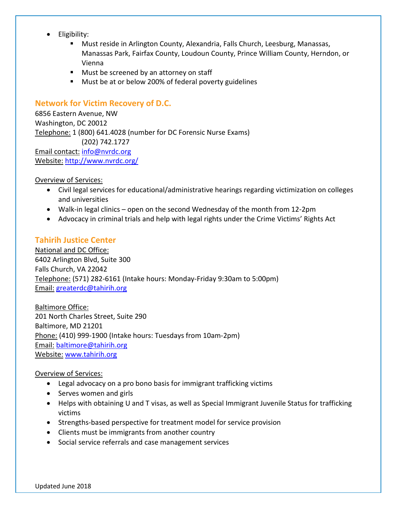- Eligibility:
	- Must reside in Arlington County, Alexandria, Falls Church, Leesburg, Manassas, Manassas Park, Fairfax County, Loudoun County, Prince William County, Herndon, or Vienna
	- **Must be screened by an attorney on staff**
	- **Must be at or below 200% of federal poverty guidelines**

### **Network for Victim Recovery of D.C.**

6856 Eastern Avenue, NW Washington, DC 20012 Telephone: 1 (800) 641.4028 (number for DC Forensic Nurse Exams) (202) 742.1727 Email contact: [info@nvrdc.org](mailto:info@nvrdc.org) Website: <http://www.nvrdc.org/>

Overview of Services:

- Civil legal services for educational/administrative hearings regarding victimization on colleges and universities
- Walk-in legal clinics open on the second Wednesday of the month from 12-2pm
- Advocacy in criminal trials and help with legal rights under the Crime Victims' Rights Act

### **Tahirih Justice Center**

National and DC Office: 6402 Arlington Blvd, Suite 300 Falls Church, VA 22042 Telephone: (571) 282-6161 (Intake hours: Monday-Friday 9:30am to 5:00pm) Email: [greaterdc@tahirih.org](mailto:greaterdc@tahirih.org)

Baltimore Office: 201 North Charles Street, Suite 290 Baltimore, MD 21201 Phone: (410) 999-1900 (Intake hours: Tuesdays from 10am-2pm) Email: [baltimore@tahirih.org](mailto:baltimore@tahirih.org) Website: [www.tahirih.org](http://www.tahirih.org/)

- Legal advocacy on a pro bono basis for immigrant trafficking victims
- Serves women and girls
- Helps with obtaining U and T visas, as well as Special Immigrant Juvenile Status for trafficking victims
- Strengths-based perspective for treatment model for service provision
- Clients must be immigrants from another country
- Social service referrals and case management services